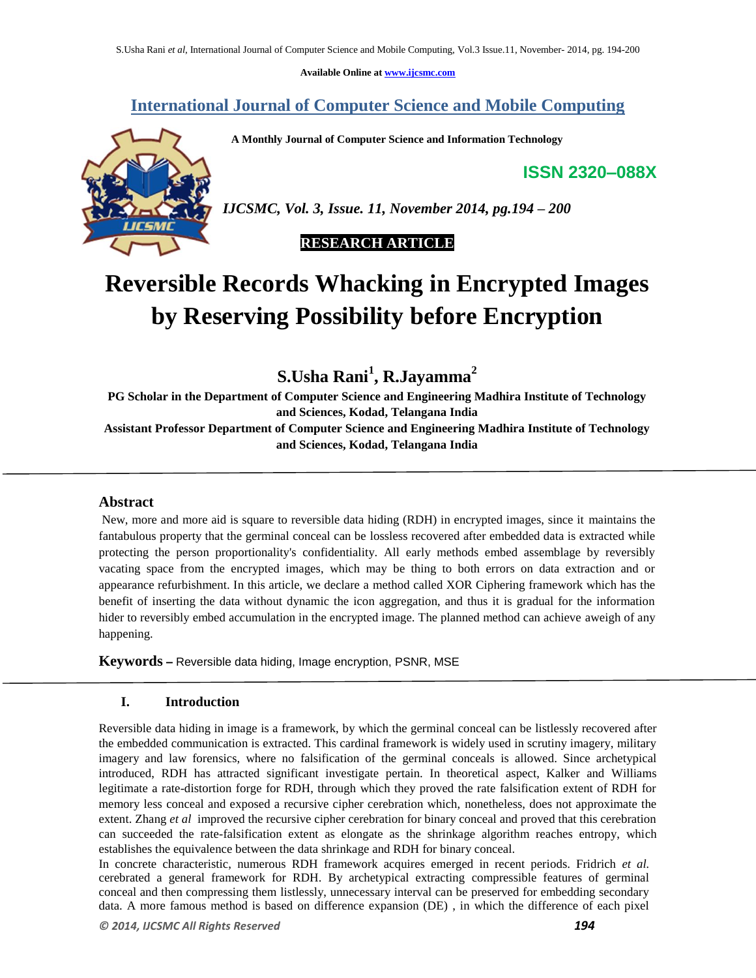**Available Online at www.ijcsmc.com**

## **International Journal of Computer Science and Mobile Computing**

 **A Monthly Journal of Computer Science and Information Technology**

**ISSN 2320–088X**



*IJCSMC, Vol. 3, Issue. 11, November 2014, pg.194 – 200*

 **RESEARCH ARTICLE**

# **Reversible Records Whacking in Encrypted Images by Reserving Possibility before Encryption**

**S.Usha Rani<sup>1</sup> , R.Jayamma<sup>2</sup>**

**PG Scholar in the Department of Computer Science and Engineering Madhira Institute of Technology and Sciences, Kodad, Telangana India Assistant Professor Department of Computer Science and Engineering Madhira Institute of Technology and Sciences, Kodad, Telangana India** 

## **Abstract**

New, more and more aid is square to reversible data hiding (RDH) in encrypted images, since it maintains the fantabulous property that the germinal conceal can be lossless recovered after embedded data is extracted while protecting the person proportionality's confidentiality. All early methods embed assemblage by reversibly vacating space from the encrypted images, which may be thing to both errors on data extraction and or appearance refurbishment. In this article, we declare a method called XOR Ciphering framework which has the benefit of inserting the data without dynamic the icon aggregation, and thus it is gradual for the information hider to reversibly embed accumulation in the encrypted image. The planned method can achieve aweigh of any happening.

**Keywords –** Reversible data hiding, Image encryption, PSNR, MSE

## **I. Introduction**

Reversible data hiding in image is a framework, by which the germinal conceal can be listlessly recovered after the embedded communication is extracted. This cardinal framework is widely used in scrutiny imagery, military imagery and law forensics, where no falsification of the germinal conceals is allowed. Since archetypical introduced, RDH has attracted significant investigate pertain. In theoretical aspect, Kalker and Williams legitimate a rate-distortion forge for RDH, through which they proved the rate falsification extent of RDH for memory less conceal and exposed a recursive cipher cerebration which, nonetheless, does not approximate the extent. Zhang *et al* improved the recursive cipher cerebration for binary conceal and proved that this cerebration can succeeded the rate-falsification extent as elongate as the shrinkage algorithm reaches entropy, which establishes the equivalence between the data shrinkage and RDH for binary conceal.

In concrete characteristic, numerous RDH framework acquires emerged in recent periods. Fridrich *et al.* cerebrated a general framework for RDH. By archetypical extracting compressible features of germinal conceal and then compressing them listlessly, unnecessary interval can be preserved for embedding secondary data. A more famous method is based on difference expansion (DE) , in which the difference of each pixel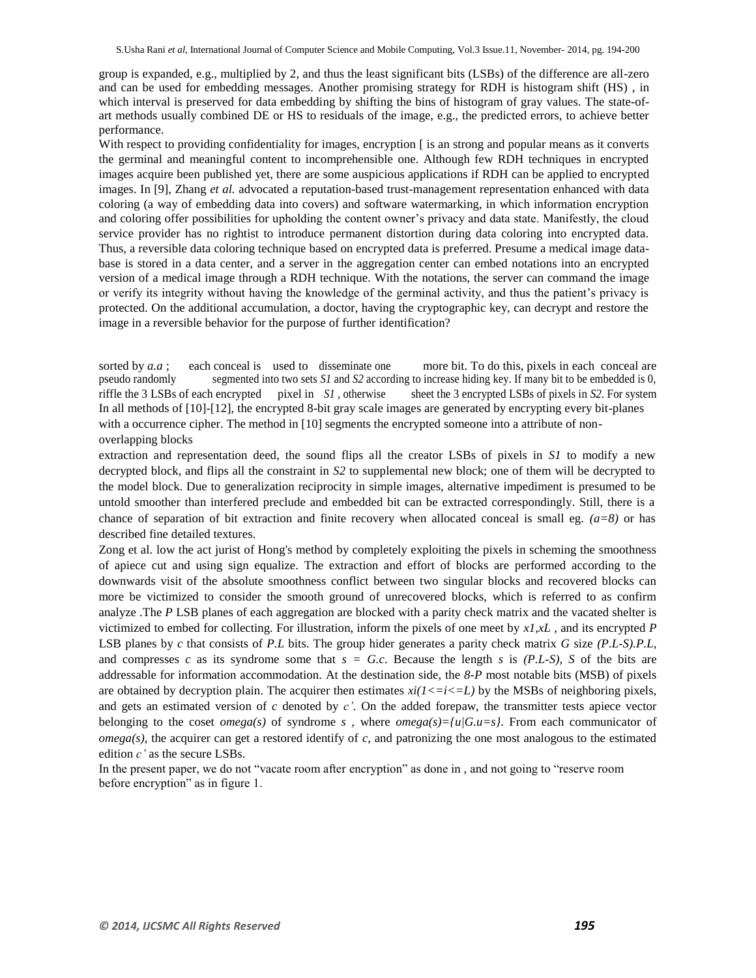group is expanded, e.g., multiplied by 2, and thus the least significant bits (LSBs) of the difference are all-zero and can be used for embedding messages. Another promising strategy for RDH is histogram shift (HS) , in which interval is preserved for data embedding by shifting the bins of histogram of gray values. The state-ofart methods usually combined DE or HS to residuals of the image, e.g., the predicted errors, to achieve better performance.

With respect to providing confidentiality for images, encryption [ is an strong and popular means as it converts the germinal and meaningful content to incomprehensible one. Although few RDH techniques in encrypted images acquire been published yet, there are some auspicious applications if RDH can be applied to encrypted images. In [9], Zhang *et al.* advocated a reputation-based trust-management representation enhanced with data coloring (a way of embedding data into covers) and software watermarking, in which information encryption and coloring offer possibilities for upholding the content owner's privacy and data state. Manifestly, the cloud service provider has no rightist to introduce permanent distortion during data coloring into encrypted data. Thus, a reversible data coloring technique based on encrypted data is preferred. Presume a medical image database is stored in a data center, and a server in the aggregation center can embed notations into an encrypted version of a medical image through a RDH technique. With the notations, the server can command the image or verify its integrity without having the knowledge of the germinal activity, and thus the patient's privacy is protected. On the additional accumulation, a doctor, having the cryptographic key, can decrypt and restore the image in a reversible behavior for the purpose of further identification?

In all methods of [10]-[12], the encrypted 8-bit gray scale images are generated by encrypting every bit-planes with a occurrence cipher. The method in [10] segments the encrypted someone into a attribute of nonoverlapping blocks sorted by *a.a*; each conceal is used to disseminate one more bit. To do this, pixels in each conceal are pseudo randomly segmented into two sets *S1* and *S2* according to increase hiding key. If many bit to be embedded i segmented into two sets *S1* and *S2* according to increase hiding key. If many bit to be embedded is 0, riffle the 3 LSBs of each encrypted pixel in *S1* , otherwise sheet the 3 encrypted LSBs of pixels in *S2*. For system

extraction and representation deed, the sound flips all the creator LSBs of pixels in *S1* to modify a new decrypted block, and flips all the constraint in *S2* to supplemental new block; one of them will be decrypted to the model block. Due to generalization reciprocity in simple images, alternative impediment is presumed to be untold smoother than interfered preclude and embedded bit can be extracted correspondingly. Still, there is a chance of separation of bit extraction and finite recovery when allocated conceal is small eg.  $(a=8)$  or has described fine detailed textures.

Zong et al. low the act jurist of Hong's method by completely exploiting the pixels in scheming the smoothness of apiece cut and using sign equalize. The extraction and effort of blocks are performed according to the downwards visit of the absolute smoothness conflict between two singular blocks and recovered blocks can more be victimized to consider the smooth ground of unrecovered blocks, which is referred to as confirm analyze .The *P* LSB planes of each aggregation are blocked with a parity check matrix and the vacated shelter is victimized to embed for collecting. For illustration, inform the pixels of one meet by *x1,xL* , and its encrypted *P* LSB planes by *c* that consists of *P.L* bits. The group hider generates a parity check matrix *G* size *(P.L-S).P.L*, and compresses *c* as its syndrome some that  $s = G.c$ . Because the length *s* is *(P.L-S)*, *S* of the bits are addressable for information accommodation. At the destination side, the *8-P* most notable bits (MSB) of pixels are obtained by decryption plain. The acquirer then estimates  $xi/(1\langle i\langle i\rangle)$  by the MSBs of neighboring pixels, and gets an estimated version of *c* denoted by *c'*. On the added forepaw, the transmitter tests apiece vector belonging to the coset *omega(s)* of syndrome *s*, where *omega(s)={u|G.u=s}*. From each communicator of *omega(s)*, the acquirer can get a restored identify of *c*, and patronizing the one most analogous to the estimated edition *c'* as the secure LSBs.

In the present paper, we do not "vacate room after encryption" as done in , and not going to "reserve room before encryption" as in figure 1.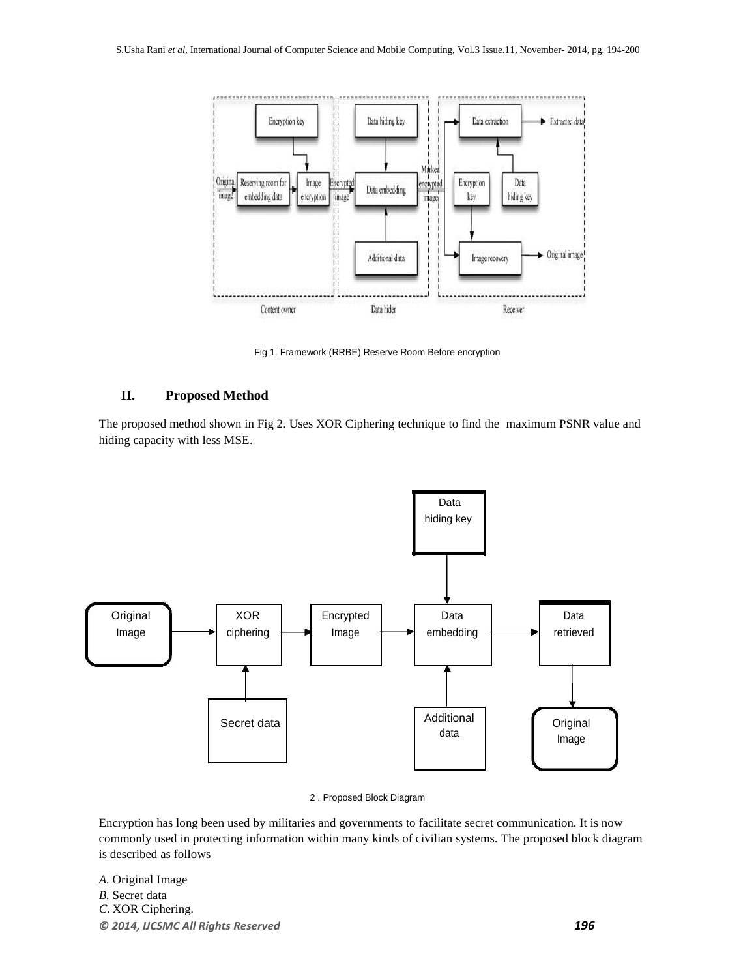

Fig 1. Framework (RRBE) Reserve Room Before encryption

## **II. Proposed Method**

The proposed method shown in Fig 2. Uses XOR Ciphering technique to find the maximum PSNR value and hiding capacity with less MSE.



2 . Proposed Block Diagram

Encryption has long been used by militaries and governments to facilitate secret communication. It is now commonly used in protecting information within many kinds of civilian systems. The proposed block diagram is described as follows

*© 2014, IJCSMC All Rights Reserved 196 A.* Original Image *B.* Secret data *C.* XOR Ciphering*.*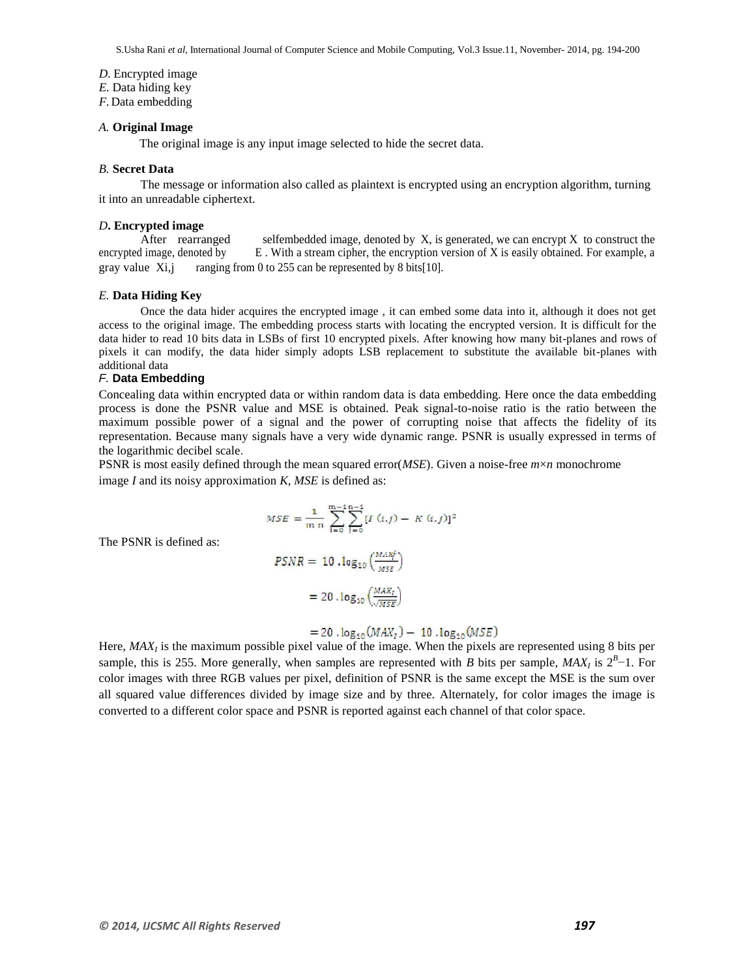S.Usha Rani *et al*, International Journal of Computer Science and Mobile Computing, Vol.3 Issue.11, November- 2014, pg. 194-200

*D.* Encrypted image

*E.* Data hiding key

*F.*Data embedding

#### *A.* **Original Image**

The original image is any input image selected to hide the secret data.

#### *B.* **Secret Data**

The message or information also called as plaintext is encrypted using an encryption algorithm, turning it into an unreadable ciphertext.

#### *D***. Encrypted image**

After rearranged selfembedded image, denoted by  $X$ , is generated, we can encrypt  $X$  to construct the encrypted image, denoted by E. With a stream cipher, the encryption version of X is easily obtained. For example, a gray value  $Xi$ , ranging from 0 to 255 can be represented by 8 bits[10].

#### *E.* **Data Hiding Key**

Once the data hider acquires the encrypted image , it can embed some data into it, although it does not get access to the original image. The embedding process starts with locating the encrypted version. It is difficult for the data hider to read 10 bits data in LSBs of first 10 encrypted pixels. After knowing how many bit-planes and rows of pixels it can modify, the data hider simply adopts LSB replacement to substitute the available bit-planes with additional data

#### *F.* **Data Embedding**

Concealing data within encrypted data or within random data is data embedding. Here once the data embedding process is done the PSNR value and MSE is obtained. Peak signal-to-noise ratio is the ratio between the maximum possible power of a signal and the power of corrupting noise that affects the fidelity of its representation. Because many signals have a very wide dynamic range. PSNR is usually expressed in terms of the logarithmic decibel scale.

PSNR is most easily defined through the mean squared error(*MSE*). Given a noise-free *m*×*n* monochrome image *I* and its noisy approximation *K*, *MSE* is defined as:

$$
MSE = \frac{1}{m n} \sum_{i=0}^{m-1} \sum_{j=0}^{n-1} [I(i,j) - K(i,j)]^2
$$

The PSNR is defined as:

$$
PSNR = 10 \cdot \log_{10} \left( \frac{MAX_f}{MSE} \right)
$$

$$
= 20 \cdot \log_{10} \left( \frac{MAX_f}{\sqrt{MSE}} \right)
$$

$$
= 20 \cdot log_{10}(MAX_t) - 10 \cdot log_{10}(MSE)
$$

Here, MAX<sub>I</sub> is the maximum possible pixel value of the image. When the pixels are represented using 8 bits per sample, this is 255. More generally, when samples are represented with *B* bits per sample,  $MAX_I$  is  $2^B-1$ . For color images with three RGB values per pixel, definition of PSNR is the same except the MSE is the sum over all squared value differences divided by image size and by three. Alternately, for color images the image is converted to a different color space and PSNR is reported against each channel of that color space.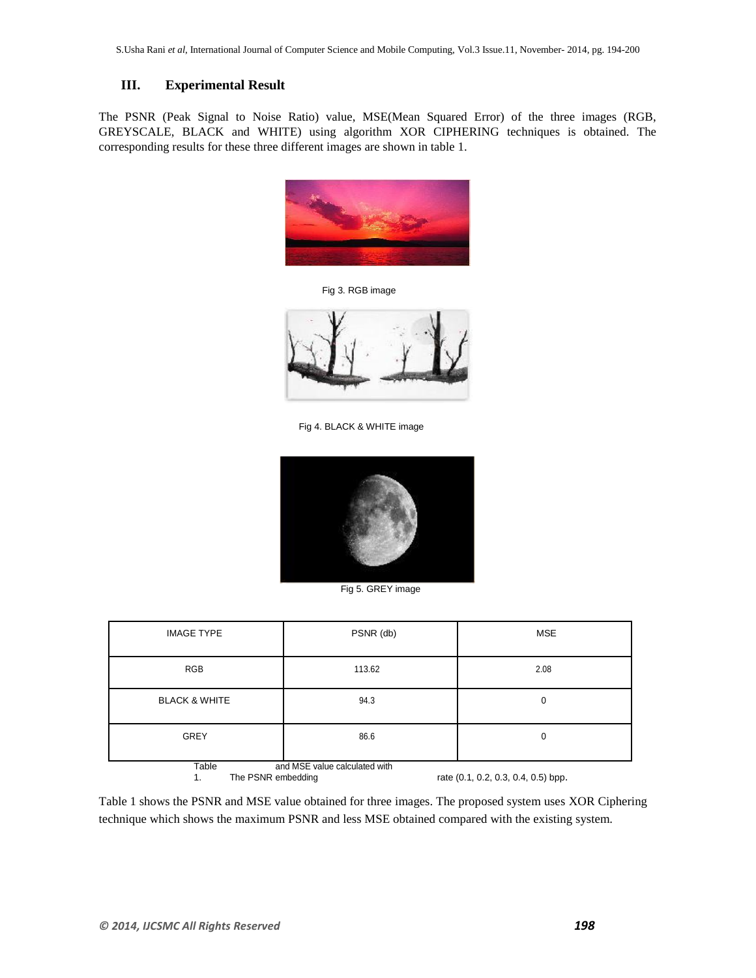## **III. Experimental Result**

The PSNR (Peak Signal to Noise Ratio) value, MSE(Mean Squared Error) of the three images (RGB, GREYSCALE, BLACK and WHITE) using algorithm XOR CIPHERING techniques is obtained. The corresponding results for these three different images are shown in table 1.



Fig 3. RGB image



Fig 4. BLACK & WHITE image



Fig 5. GREY image

| <b>IMAGE TYPE</b>                                                                                   | PSNR (db) | <b>MSE</b> |
|-----------------------------------------------------------------------------------------------------|-----------|------------|
| <b>RGB</b>                                                                                          | 113.62    | 2.08       |
| <b>BLACK &amp; WHITE</b>                                                                            | 94.3      | 0          |
| <b>GREY</b>                                                                                         | 86.6      | 0          |
| Table<br>and MSE value calculated with<br>rate (0.1, 0.2, 0.3, 0.4, 0.5) bpp.<br>The PSNR embedding |           |            |

Table 1 shows the PSNR and MSE value obtained for three images. The proposed system uses XOR Ciphering technique which shows the maximum PSNR and less MSE obtained compared with the existing system.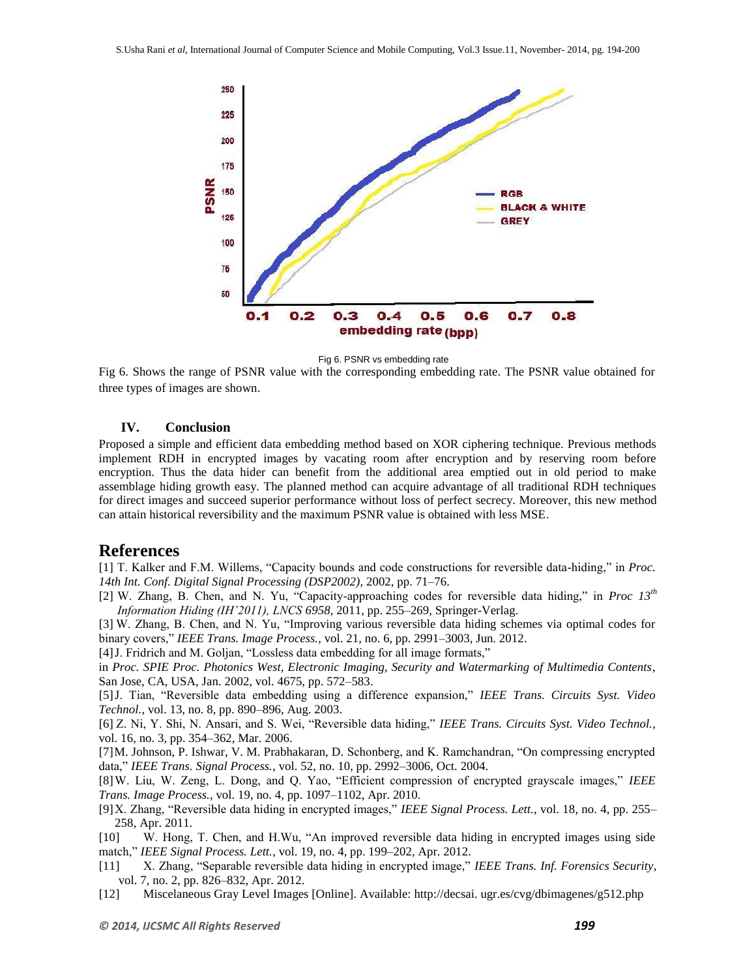

Fig 6. PSNR vs embedding rate

Fig 6. Shows the range of PSNR value with the corresponding embedding rate. The PSNR value obtained for three types of images are shown.

## **IV. Conclusion**

Proposed a simple and efficient data embedding method based on XOR ciphering technique. Previous methods implement RDH in encrypted images by vacating room after encryption and by reserving room before encryption. Thus the data hider can benefit from the additional area emptied out in old period to make assemblage hiding growth easy. The planned method can acquire advantage of all traditional RDH techniques for direct images and succeed superior performance without loss of perfect secrecy. Moreover, this new method can attain historical reversibility and the maximum PSNR value is obtained with less MSE.

## **References**

[1] T. Kalker and F.M. Willems, "Capacity bounds and code constructions for reversible data-hiding," in *Proc. 14th Int. Conf. Digital Signal Processing (DSP2002)*, 2002, pp. 71–76.

[2] W. Zhang, B. Chen, and N. Yu, "Capacity-approaching codes for reversible data hiding," in *Proc 13th Information Hiding (IH'2011), LNCS 6958*, 2011, pp. 255–269, Springer-Verlag.

[3] W. Zhang, B. Chen, and N. Yu, "Improving various reversible data hiding schemes via optimal codes for binary covers," *IEEE Trans. Image Process.*, vol. 21, no. 6, pp. 2991–3003, Jun. 2012.

[4] J. Fridrich and M. Goljan, "Lossless data embedding for all image formats,"

in *Proc. SPIE Proc. Photonics West, Electronic Imaging, Security and Watermarking of Multimedia Contents*, San Jose, CA, USA, Jan. 2002, vol. 4675, pp. 572–583.

[5]J. Tian, "Reversible data embedding using a difference expansion," *IEEE Trans. Circuits Syst. Video Technol.*, vol. 13, no. 8, pp. 890–896, Aug. 2003.

[6] Z. Ni, Y. Shi, N. Ansari, and S. Wei, "Reversible data hiding," *IEEE Trans. Circuits Syst. Video Technol.*, vol. 16, no. 3, pp. 354–362, Mar. 2006.

[7]M. Johnson, P. Ishwar, V. M. Prabhakaran, D. Schonberg, and K. Ramchandran, "On compressing encrypted data," *IEEE Trans. Signal Process.*, vol. 52, no. 10, pp. 2992–3006, Oct. 2004.

[8]W. Liu, W. Zeng, L. Dong, and Q. Yao, "Efficient compression of encrypted grayscale images," *IEEE Trans. Image Process.*, vol. 19, no. 4, pp. 1097–1102, Apr. 2010.

[9]X. Zhang, "Reversible data hiding in encrypted images," *IEEE Signal Process. Lett.*, vol. 18, no. 4, pp. 255– 258, Apr. 2011.

[10] W. Hong, T. Chen, and H.Wu, "An improved reversible data hiding in encrypted images using side match," *IEEE Signal Process. Lett.*, vol. 19, no. 4, pp. 199–202, Apr. 2012.

- [11] X. Zhang, "Separable reversible data hiding in encrypted image," *IEEE Trans. Inf. Forensics Security*, vol. 7, no. 2, pp. 826–832, Apr. 2012.
- [12] Miscelaneous Gray Level Images [Online]. Available: http://decsai. ugr.es/cvg/dbimagenes/g512.php